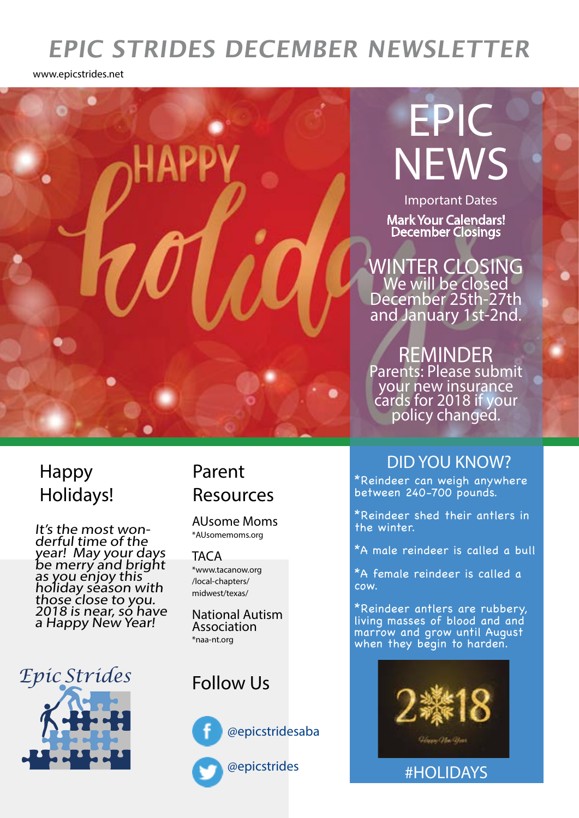# **EPIC STRIDES DECEMBER NEWSLETTER**

www.epicstrides.net



### Happy Holidays!

It's the most won derful time of the year! May your days be merry and bright as you enjoy this` holiday séason with those close to you. 2018 is near, só have a Happy New Year!

*Epic Strides*

# Resources

AUsome Moms \*AUsomemoms.org

**TACA** \*www.tacanow.org /local-chapters/ midwest/texas/

National Autism Association \*naa-nt.org

## Follow Us



@epicstridesaba

@epicstrides

## Parent DID YOU KNOW?

\*Reindeer can weigh anywhere between 240-700 pounds.

\*Reindeer shed their antlers in the winter.

\*A male reindeer is called a bull

\*A female reindeer is called a cow.

\*Reindeer antlers are rubbery, living masses of blood and and marrow and grow until August when they begin to harden.